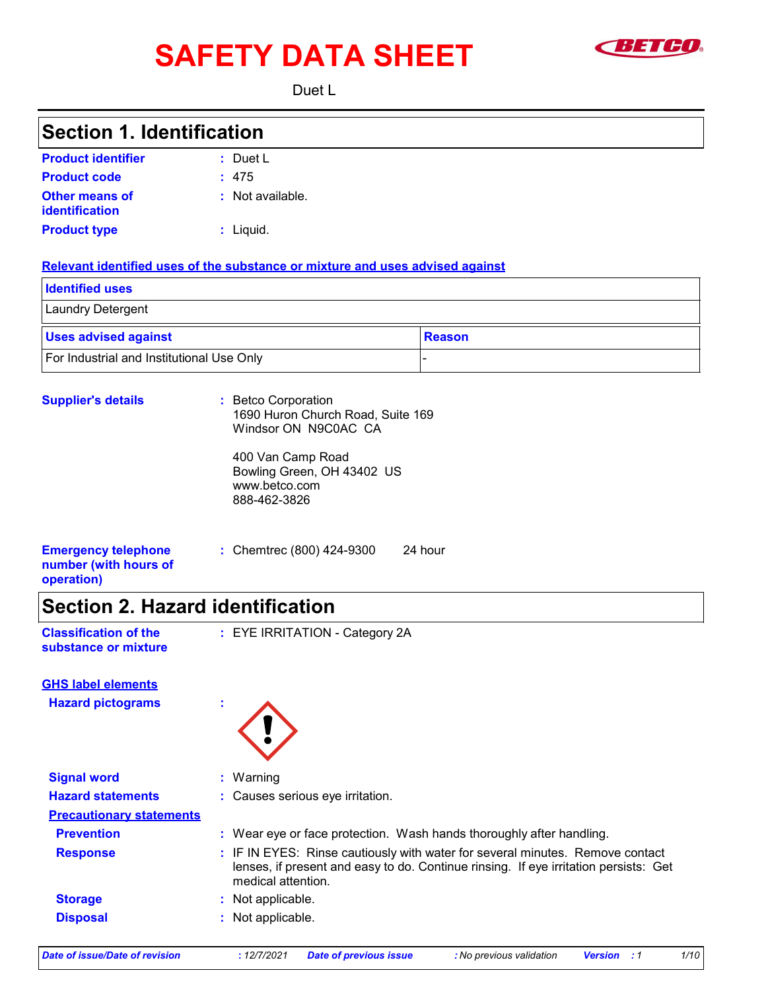# SAFETY DATA SHEET **SETCO**



Duet L

## **Section 1. Identification**

| <b>Product identifier</b>               | : Duet L         |
|-----------------------------------------|------------------|
| <b>Product code</b>                     | : 475            |
| <b>Other means of</b><br>identification | : Not available. |
| <b>Product type</b>                     | $:$ Liquid.      |

#### **Relevant identified uses of the substance or mixture and uses advised against**

| <b>Identified uses</b>                    |          |
|-------------------------------------------|----------|
| Laundry Detergent                         |          |
| <b>Uses advised against</b>               | ∣Reason∶ |
| For Industrial and Institutional Use Only |          |

| <b>Supplier's details</b>                                         | : Betco Corporation<br>1690 Huron Church Road, Suite 169<br>Windsor ON N9C0AC CA |  |
|-------------------------------------------------------------------|----------------------------------------------------------------------------------|--|
|                                                                   | 400 Van Camp Road<br>Bowling Green, OH 43402 US<br>www.betco.com<br>888-462-3826 |  |
| <b>Emergency telephone</b><br>number (with hours of<br>operation) | : Chemtrec (800) 424-9300<br>24 hour                                             |  |
|                                                                   |                                                                                  |  |

## **Section 2. Hazard identification**

| <b>Classification of the</b> |  |
|------------------------------|--|
| substance or mixture         |  |

**Classification of the : EYE IRRITATION - Category 2A** 

| <b>Hazard pictograms</b>        | ×.                                                                                                                                                                                          |
|---------------------------------|---------------------------------------------------------------------------------------------------------------------------------------------------------------------------------------------|
| <b>Signal word</b>              | : Warning                                                                                                                                                                                   |
| <b>Hazard statements</b>        | : Causes serious eye irritation.                                                                                                                                                            |
| <b>Precautionary statements</b> |                                                                                                                                                                                             |
| <b>Prevention</b>               | : Wear eye or face protection. Wash hands thoroughly after handling.                                                                                                                        |
| <b>Response</b>                 | : IF IN EYES: Rinse cautiously with water for several minutes. Remove contact<br>lenses, if present and easy to do. Continue rinsing. If eye irritation persists: Get<br>medical attention. |
| <b>Storage</b>                  | Not applicable.                                                                                                                                                                             |
| <b>Disposal</b>                 | Not applicable.                                                                                                                                                                             |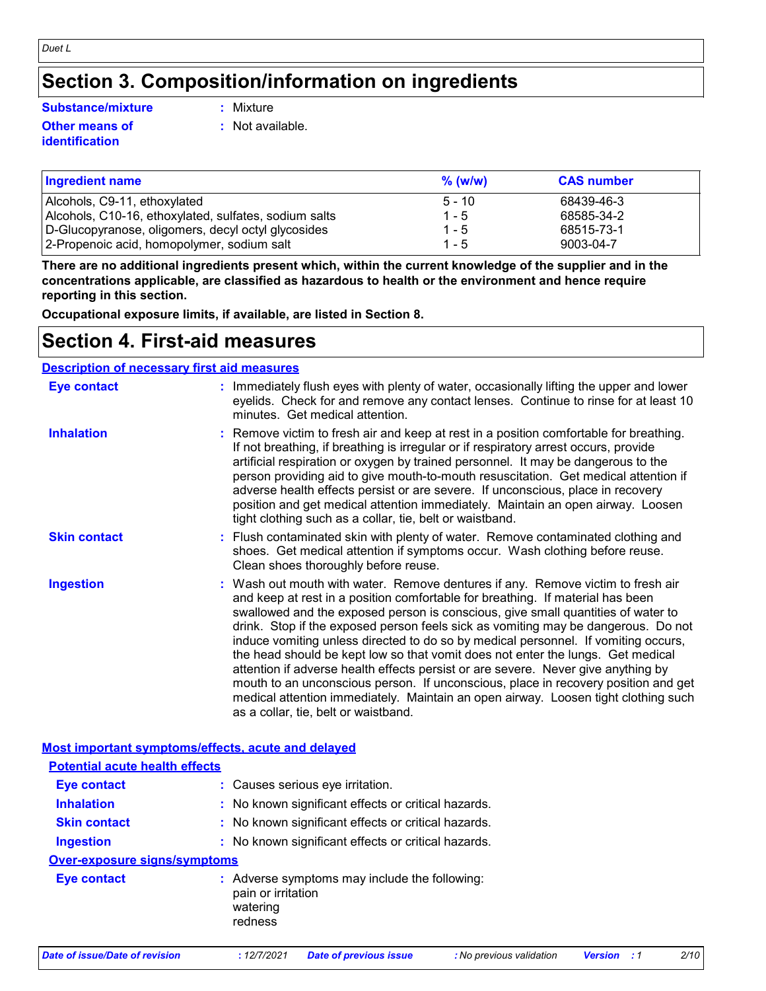## **Section 3. Composition/information on ingredients**

#### **Substance/mixture :**

#### **Other means of identification**

: Mixture

**:** Not available.

| <b>Ingredient name</b>                                | $%$ (w/w) | <b>CAS number</b> |
|-------------------------------------------------------|-----------|-------------------|
| Alcohols, C9-11, ethoxylated                          | $5 - 10$  | 68439-46-3        |
| Alcohols, C10-16, ethoxylated, sulfates, sodium salts | $1 - 5$   | 68585-34-2        |
| D-Glucopyranose, oligomers, decyl octyl glycosides    | $1 - 5$   | 68515-73-1        |
| 2-Propenoic acid, homopolymer, sodium salt            | $1 - 5$   | 9003-04-7         |

**There are no additional ingredients present which, within the current knowledge of the supplier and in the concentrations applicable, are classified as hazardous to health or the environment and hence require reporting in this section.**

**Occupational exposure limits, if available, are listed in Section 8.**

## **Section 4. First-aid measures**

| <b>Description of necessary first aid measures</b> |                                                                                                                                                                                                                                                                                                                                                                                                                                                                                                                                                                                                                                                                                                                                                                                                                              |
|----------------------------------------------------|------------------------------------------------------------------------------------------------------------------------------------------------------------------------------------------------------------------------------------------------------------------------------------------------------------------------------------------------------------------------------------------------------------------------------------------------------------------------------------------------------------------------------------------------------------------------------------------------------------------------------------------------------------------------------------------------------------------------------------------------------------------------------------------------------------------------------|
| <b>Eye contact</b>                                 | : Immediately flush eyes with plenty of water, occasionally lifting the upper and lower<br>eyelids. Check for and remove any contact lenses. Continue to rinse for at least 10<br>minutes. Get medical attention.                                                                                                                                                                                                                                                                                                                                                                                                                                                                                                                                                                                                            |
| <b>Inhalation</b>                                  | Remove victim to fresh air and keep at rest in a position comfortable for breathing.<br>If not breathing, if breathing is irregular or if respiratory arrest occurs, provide<br>artificial respiration or oxygen by trained personnel. It may be dangerous to the<br>person providing aid to give mouth-to-mouth resuscitation. Get medical attention if<br>adverse health effects persist or are severe. If unconscious, place in recovery<br>position and get medical attention immediately. Maintain an open airway. Loosen<br>tight clothing such as a collar, tie, belt or waistband.                                                                                                                                                                                                                                   |
| <b>Skin contact</b>                                | : Flush contaminated skin with plenty of water. Remove contaminated clothing and<br>shoes. Get medical attention if symptoms occur. Wash clothing before reuse.<br>Clean shoes thoroughly before reuse.                                                                                                                                                                                                                                                                                                                                                                                                                                                                                                                                                                                                                      |
| <b>Ingestion</b>                                   | : Wash out mouth with water. Remove dentures if any. Remove victim to fresh air<br>and keep at rest in a position comfortable for breathing. If material has been<br>swallowed and the exposed person is conscious, give small quantities of water to<br>drink. Stop if the exposed person feels sick as vomiting may be dangerous. Do not<br>induce vomiting unless directed to do so by medical personnel. If vomiting occurs,<br>the head should be kept low so that vomit does not enter the lungs. Get medical<br>attention if adverse health effects persist or are severe. Never give anything by<br>mouth to an unconscious person. If unconscious, place in recovery position and get<br>medical attention immediately. Maintain an open airway. Loosen tight clothing such<br>as a collar, tie, belt or waistband. |
|                                                    | Most important symptoms/effects, acute and delayed                                                                                                                                                                                                                                                                                                                                                                                                                                                                                                                                                                                                                                                                                                                                                                           |
| <b>Potential acute health effects</b>              |                                                                                                                                                                                                                                                                                                                                                                                                                                                                                                                                                                                                                                                                                                                                                                                                                              |
| <b>Eye contact</b>                                 | : Causes serious eye irritation.                                                                                                                                                                                                                                                                                                                                                                                                                                                                                                                                                                                                                                                                                                                                                                                             |
| <b>Inhalation</b>                                  | : No known significant effects or critical hazards.                                                                                                                                                                                                                                                                                                                                                                                                                                                                                                                                                                                                                                                                                                                                                                          |
| <b>Skin contact</b>                                | : No known significant effects or critical hazards.                                                                                                                                                                                                                                                                                                                                                                                                                                                                                                                                                                                                                                                                                                                                                                          |
| <b>Ingestion</b>                                   | : No known significant effects or critical hazards.                                                                                                                                                                                                                                                                                                                                                                                                                                                                                                                                                                                                                                                                                                                                                                          |
| <b>Over-exposure signs/symptoms</b>                |                                                                                                                                                                                                                                                                                                                                                                                                                                                                                                                                                                                                                                                                                                                                                                                                                              |
| <b>Eye contact</b>                                 | : Adverse symptoms may include the following:<br>pain or irritation<br>watering<br>redness                                                                                                                                                                                                                                                                                                                                                                                                                                                                                                                                                                                                                                                                                                                                   |

*Date of issue/Date of revision* **:** *12/7/2021 Date of previous issue : No previous validation Version : 1 2/10*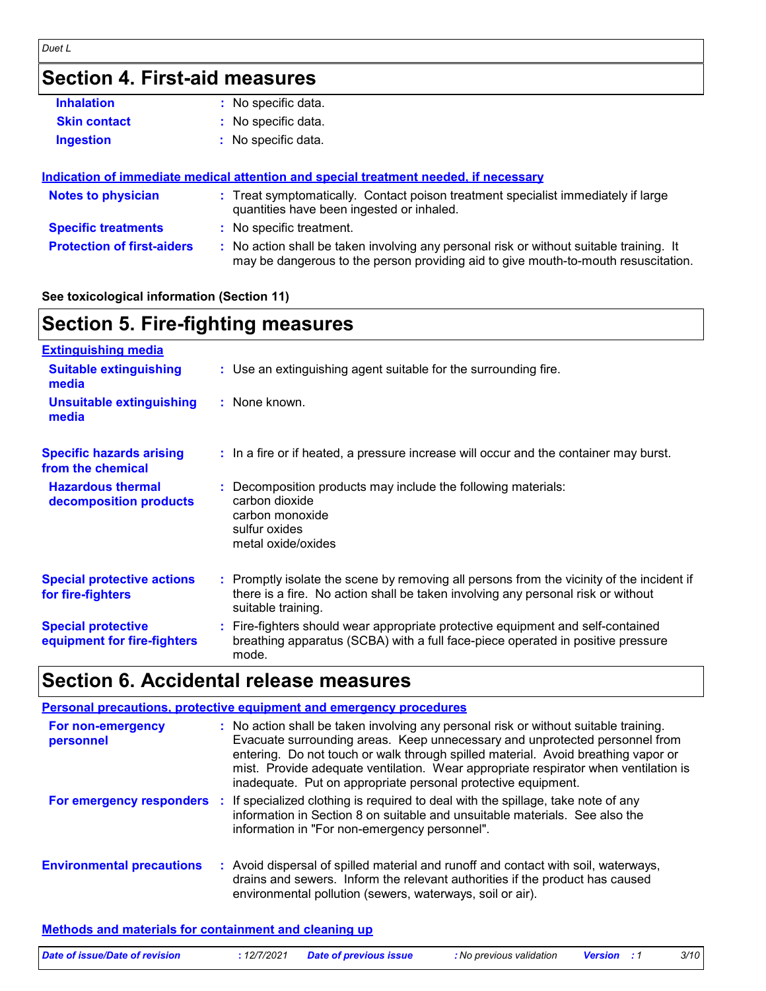## **Section 4. First-aid measures**

| <b>Inhalation</b>   | : No specific data. |
|---------------------|---------------------|
| <b>Skin contact</b> | : No specific data. |
| Ingestion           | : No specific data. |

#### **Protection of first-aiders :** No action shall be taken involving any personal risk or without suitable training. It may be dangerous to the person providing aid to give mouth-to-mouth resuscitation. **Notes to physician :** Treat symptomatically. Contact poison treatment specialist immediately if large quantities have been ingested or inhaled. **Specific treatments :** No specific treatment. **Indication of immediate medical attention and special treatment needed, if necessary**

#### **See toxicological information (Section 11)**

| <b>Section 5. Fire-fighting measures</b>                 |                                                                                                                                                                                                     |  |
|----------------------------------------------------------|-----------------------------------------------------------------------------------------------------------------------------------------------------------------------------------------------------|--|
| <b>Extinguishing media</b>                               |                                                                                                                                                                                                     |  |
| <b>Suitable extinguishing</b><br>media                   | : Use an extinguishing agent suitable for the surrounding fire.                                                                                                                                     |  |
| <b>Unsuitable extinguishing</b><br>media                 | : None known.                                                                                                                                                                                       |  |
| <b>Specific hazards arising</b><br>from the chemical     | : In a fire or if heated, a pressure increase will occur and the container may burst.                                                                                                               |  |
| <b>Hazardous thermal</b><br>decomposition products       | : Decomposition products may include the following materials:<br>carbon dioxide<br>carbon monoxide<br>sulfur oxides<br>metal oxide/oxides                                                           |  |
| <b>Special protective actions</b><br>for fire-fighters   | : Promptly isolate the scene by removing all persons from the vicinity of the incident if<br>there is a fire. No action shall be taken involving any personal risk or without<br>suitable training. |  |
| <b>Special protective</b><br>equipment for fire-fighters | : Fire-fighters should wear appropriate protective equipment and self-contained<br>breathing apparatus (SCBA) with a full face-piece operated in positive pressure<br>mode.                         |  |

## **Section 6. Accidental release measures**

|                                  | <b>Personal precautions, protective equipment and emergency procedures</b>                                                                                                                                                                                                                                                                                                                                       |
|----------------------------------|------------------------------------------------------------------------------------------------------------------------------------------------------------------------------------------------------------------------------------------------------------------------------------------------------------------------------------------------------------------------------------------------------------------|
| For non-emergency<br>personnel   | : No action shall be taken involving any personal risk or without suitable training.<br>Evacuate surrounding areas. Keep unnecessary and unprotected personnel from<br>entering. Do not touch or walk through spilled material. Avoid breathing vapor or<br>mist. Provide adequate ventilation. Wear appropriate respirator when ventilation is<br>inadequate. Put on appropriate personal protective equipment. |
|                                  | For emergency responders : If specialized clothing is required to deal with the spillage, take note of any<br>information in Section 8 on suitable and unsuitable materials. See also the<br>information in "For non-emergency personnel".                                                                                                                                                                       |
| <b>Environmental precautions</b> | : Avoid dispersal of spilled material and runoff and contact with soil, waterways,<br>drains and sewers. Inform the relevant authorities if the product has caused<br>environmental pollution (sewers, waterways, soil or air).                                                                                                                                                                                  |

#### **Methods and materials for containment and cleaning up**

| Date of issue/Date of revision | : 12/7/2021 Date of previous issue |  | No previous validation <b>Version</b> : 1 |  | 3/10 |
|--------------------------------|------------------------------------|--|-------------------------------------------|--|------|
|--------------------------------|------------------------------------|--|-------------------------------------------|--|------|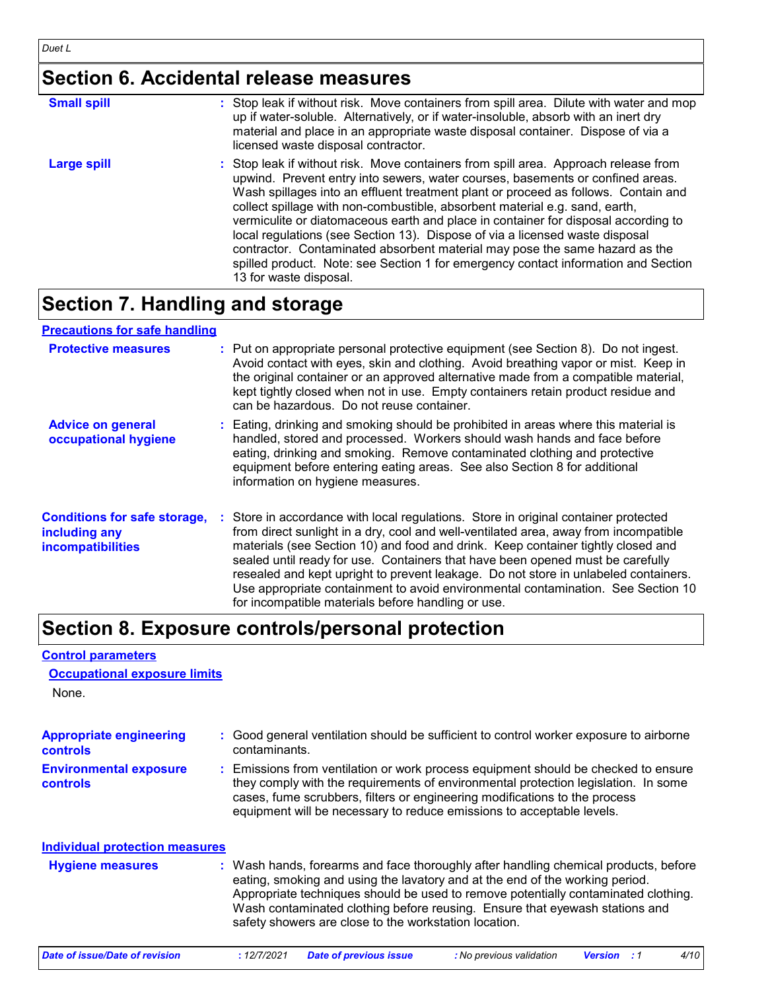## **Section 6. Accidental release measures**

| <b>Small spill</b> | : Stop leak if without risk. Move containers from spill area. Dilute with water and mop<br>up if water-soluble. Alternatively, or if water-insoluble, absorb with an inert dry<br>material and place in an appropriate waste disposal container. Dispose of via a<br>licensed waste disposal contractor.                                                                                                                                                                                                                                                                                                                                                                                                        |
|--------------------|-----------------------------------------------------------------------------------------------------------------------------------------------------------------------------------------------------------------------------------------------------------------------------------------------------------------------------------------------------------------------------------------------------------------------------------------------------------------------------------------------------------------------------------------------------------------------------------------------------------------------------------------------------------------------------------------------------------------|
| <b>Large spill</b> | : Stop leak if without risk. Move containers from spill area. Approach release from<br>upwind. Prevent entry into sewers, water courses, basements or confined areas.<br>Wash spillages into an effluent treatment plant or proceed as follows. Contain and<br>collect spillage with non-combustible, absorbent material e.g. sand, earth,<br>vermiculite or diatomaceous earth and place in container for disposal according to<br>local regulations (see Section 13). Dispose of via a licensed waste disposal<br>contractor. Contaminated absorbent material may pose the same hazard as the<br>spilled product. Note: see Section 1 for emergency contact information and Section<br>13 for waste disposal. |

## **Section 7. Handling and storage**

### **Precautions for safe handling**

| <b>Protective measures</b>                                                | : Put on appropriate personal protective equipment (see Section 8). Do not ingest.<br>Avoid contact with eyes, skin and clothing. Avoid breathing vapor or mist. Keep in<br>the original container or an approved alternative made from a compatible material,<br>kept tightly closed when not in use. Empty containers retain product residue and<br>can be hazardous. Do not reuse container.                                                                                                                                                                                    |
|---------------------------------------------------------------------------|------------------------------------------------------------------------------------------------------------------------------------------------------------------------------------------------------------------------------------------------------------------------------------------------------------------------------------------------------------------------------------------------------------------------------------------------------------------------------------------------------------------------------------------------------------------------------------|
| <b>Advice on general</b><br>occupational hygiene                          | : Eating, drinking and smoking should be prohibited in areas where this material is<br>handled, stored and processed. Workers should wash hands and face before<br>eating, drinking and smoking. Remove contaminated clothing and protective<br>equipment before entering eating areas. See also Section 8 for additional<br>information on hygiene measures.                                                                                                                                                                                                                      |
| <b>Conditions for safe storage,</b><br>including any<br>incompatibilities | : Store in accordance with local regulations. Store in original container protected<br>from direct sunlight in a dry, cool and well-ventilated area, away from incompatible<br>materials (see Section 10) and food and drink. Keep container tightly closed and<br>sealed until ready for use. Containers that have been opened must be carefully<br>resealed and kept upright to prevent leakage. Do not store in unlabeled containers.<br>Use appropriate containment to avoid environmental contamination. See Section 10<br>for incompatible materials before handling or use. |

## **Section 8. Exposure controls/personal protection**

#### **Control parameters**

## **Occupational exposure limits**

None.

| <b>Appropriate engineering</b><br><b>controls</b><br><b>Environmental exposure</b><br>controls | : Good general ventilation should be sufficient to control worker exposure to airborne<br>contaminants.<br>: Emissions from ventilation or work process equipment should be checked to ensure<br>they comply with the requirements of environmental protection legislation. In some<br>cases, fume scrubbers, filters or engineering modifications to the process<br>equipment will be necessary to reduce emissions to acceptable levels. |
|------------------------------------------------------------------------------------------------|--------------------------------------------------------------------------------------------------------------------------------------------------------------------------------------------------------------------------------------------------------------------------------------------------------------------------------------------------------------------------------------------------------------------------------------------|
| <b>Individual protection measures</b><br><b>Hygiene measures</b>                               | : Wash hands, forearms and face thoroughly after handling chemical products, before<br>eating, smoking and using the lavatory and at the end of the working period.<br>Appropriate techniques should be used to remove potentially contaminated clothing.<br>Wash contaminated clothing before reusing. Ensure that eyewash stations and<br>safety showers are close to the workstation location.                                          |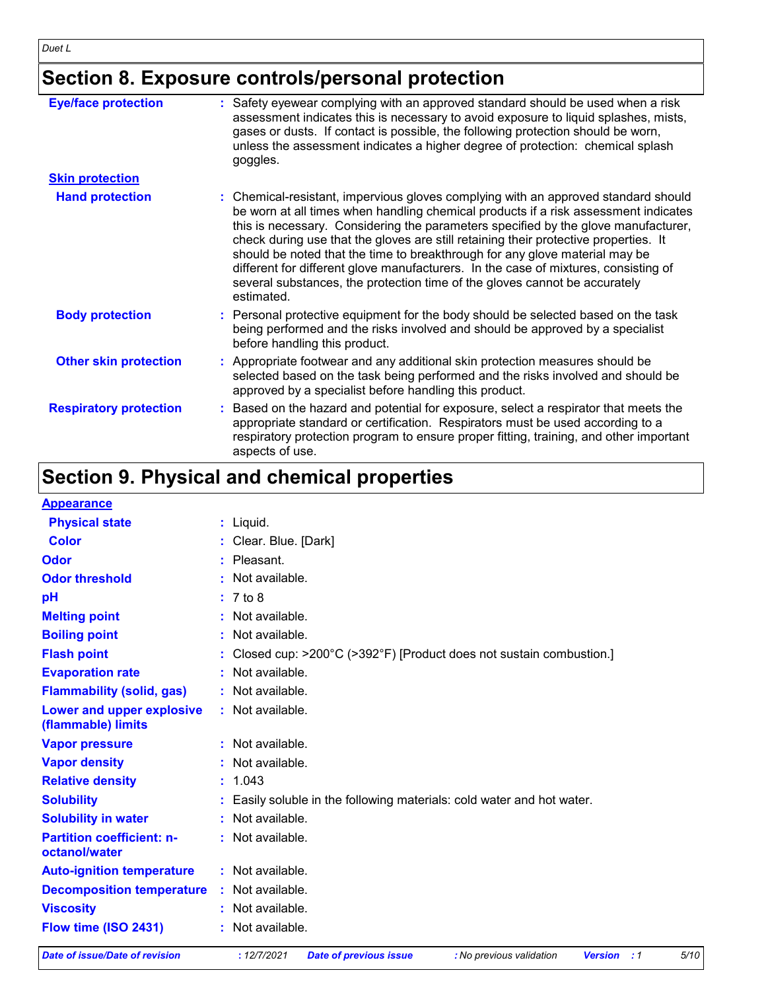## **Section 8. Exposure controls/personal protection**

| <b>Eye/face protection</b>    | : Safety eyewear complying with an approved standard should be used when a risk<br>assessment indicates this is necessary to avoid exposure to liquid splashes, mists,<br>gases or dusts. If contact is possible, the following protection should be worn,<br>unless the assessment indicates a higher degree of protection: chemical splash<br>goggles.                                                                                                                                                                                                                                                                  |
|-------------------------------|---------------------------------------------------------------------------------------------------------------------------------------------------------------------------------------------------------------------------------------------------------------------------------------------------------------------------------------------------------------------------------------------------------------------------------------------------------------------------------------------------------------------------------------------------------------------------------------------------------------------------|
| <b>Skin protection</b>        |                                                                                                                                                                                                                                                                                                                                                                                                                                                                                                                                                                                                                           |
| <b>Hand protection</b>        | : Chemical-resistant, impervious gloves complying with an approved standard should<br>be worn at all times when handling chemical products if a risk assessment indicates<br>this is necessary. Considering the parameters specified by the glove manufacturer,<br>check during use that the gloves are still retaining their protective properties. It<br>should be noted that the time to breakthrough for any glove material may be<br>different for different glove manufacturers. In the case of mixtures, consisting of<br>several substances, the protection time of the gloves cannot be accurately<br>estimated. |
| <b>Body protection</b>        | : Personal protective equipment for the body should be selected based on the task<br>being performed and the risks involved and should be approved by a specialist<br>before handling this product.                                                                                                                                                                                                                                                                                                                                                                                                                       |
| <b>Other skin protection</b>  | : Appropriate footwear and any additional skin protection measures should be<br>selected based on the task being performed and the risks involved and should be<br>approved by a specialist before handling this product.                                                                                                                                                                                                                                                                                                                                                                                                 |
| <b>Respiratory protection</b> | Based on the hazard and potential for exposure, select a respirator that meets the<br>appropriate standard or certification. Respirators must be used according to a<br>respiratory protection program to ensure proper fitting, training, and other important<br>aspects of use.                                                                                                                                                                                                                                                                                                                                         |

## **Section 9. Physical and chemical properties**

| <b>Appearance</b>                                 |                                                                        |
|---------------------------------------------------|------------------------------------------------------------------------|
| <b>Physical state</b>                             | $:$ Liquid.                                                            |
| <b>Color</b>                                      | : Clear. Blue. [Dark]                                                  |
| Odor                                              | $:$ Pleasant.                                                          |
| <b>Odor threshold</b>                             | : Not available.                                                       |
| pH                                                | : 7 to 8                                                               |
| <b>Melting point</b>                              | : Not available.                                                       |
| <b>Boiling point</b>                              | : Not available.                                                       |
| <b>Flash point</b>                                | : Closed cup: >200°C (>392°F) [Product does not sustain combustion.]   |
| <b>Evaporation rate</b>                           | : Not available.                                                       |
| <b>Flammability (solid, gas)</b>                  | : Not available.                                                       |
| Lower and upper explosive                         | : Not available.                                                       |
| (flammable) limits                                |                                                                        |
| <b>Vapor pressure</b>                             | : Not available.                                                       |
| <b>Vapor density</b>                              | : Not available.                                                       |
| <b>Relative density</b>                           | : 1.043                                                                |
| <b>Solubility</b>                                 | : Easily soluble in the following materials: cold water and hot water. |
| <b>Solubility in water</b>                        | : Not available.                                                       |
| <b>Partition coefficient: n-</b><br>octanol/water | $:$ Not available.                                                     |
| <b>Auto-ignition temperature</b>                  | : Not available.                                                       |
| <b>Decomposition temperature</b>                  | : Not available.                                                       |
| <b>Viscosity</b>                                  | : Not available.                                                       |
| Flow time (ISO 2431)                              | : Not available.                                                       |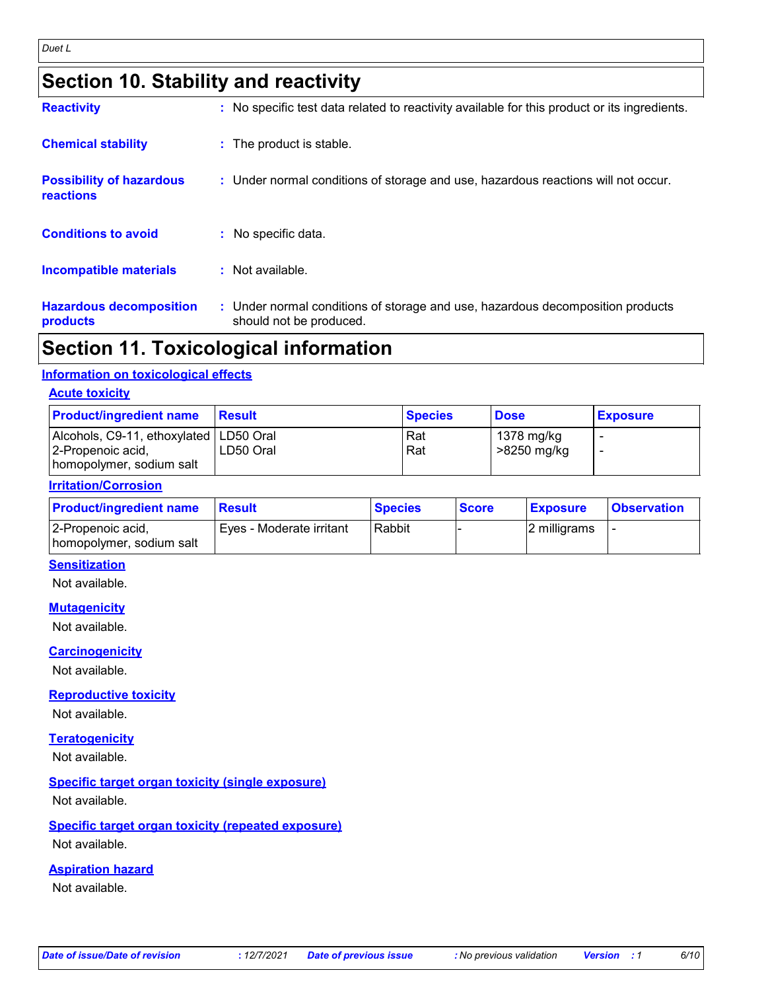## **Section 10. Stability and reactivity**

| Cootian 11 Tavioalagiaal information         |                                                                                                           |
|----------------------------------------------|-----------------------------------------------------------------------------------------------------------|
| <b>Hazardous decomposition</b><br>products   | : Under normal conditions of storage and use, hazardous decomposition products<br>should not be produced. |
| <b>Incompatible materials</b>                | : Not available.                                                                                          |
| <b>Conditions to avoid</b>                   | : No specific data.                                                                                       |
| <b>Possibility of hazardous</b><br>reactions | : Under normal conditions of storage and use, hazardous reactions will not occur.                         |
| <b>Chemical stability</b>                    | : The product is stable.                                                                                  |
| <b>Reactivity</b>                            | : No specific test data related to reactivity available for this product or its ingredients.              |

## **Section 11. Toxicological information**

#### **Information on toxicological effects**

#### **Acute toxicity**

| <b>Product/ingredient name</b>                                                            | <b>Besult</b> | <b>Species</b> | <b>Dose</b>               | <b>Exposure</b> |
|-------------------------------------------------------------------------------------------|---------------|----------------|---------------------------|-----------------|
| Alcohols, C9-11, ethoxylated   LD50 Oral<br>2-Propenoic acid,<br>homopolymer, sodium salt | LD50 Oral     | Rat<br>Rat     | 1378 mg/kg<br>>8250 mg/kg |                 |

#### **Irritation/Corrosion**

| <b>Product/ingredient name</b>                | <b>Besult</b>            | <b>Species</b> | <b>Score</b> | <b>Exposure</b> | <b>Observation</b> |
|-----------------------------------------------|--------------------------|----------------|--------------|-----------------|--------------------|
| 2-Propenoic acid,<br>homopolymer, sodium salt | Eyes - Moderate irritant | Rabbit         |              | 12 milligrams   |                    |

#### **Sensitization**

Not available.

#### **Mutagenicity**

Not available.

#### **Carcinogenicity**

Not available.

**Reproductive toxicity**

Not available.

#### **Teratogenicity**

Not available.

#### **Specific target organ toxicity (single exposure)**

Not available.

#### **Specific target organ toxicity (repeated exposure)**

Not available.

#### **Aspiration hazard**

Not available.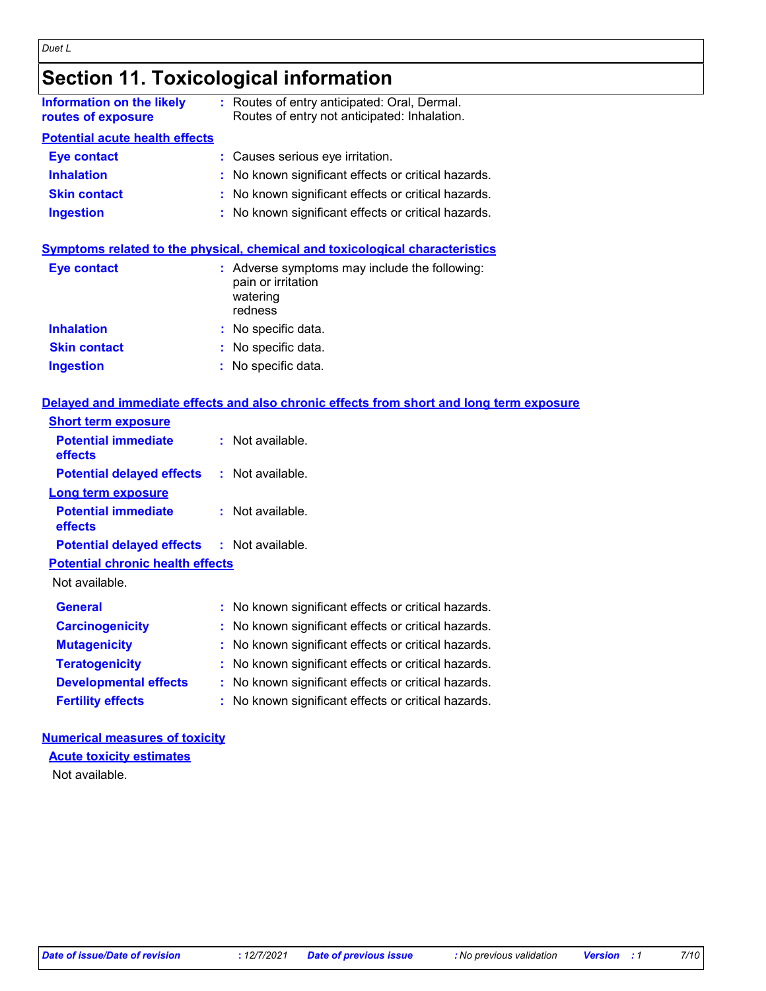|                                                        | <b>Section 11. Toxicological information</b> |                                                                                              |  |
|--------------------------------------------------------|----------------------------------------------|----------------------------------------------------------------------------------------------|--|
| <b>Information on the likely</b><br>routes of exposure |                                              | : Routes of entry anticipated: Oral, Dermal.<br>Routes of entry not anticipated: Inhalation. |  |
| <b>Potential acute health effects</b>                  |                                              |                                                                                              |  |
| <b>Eye contact</b>                                     |                                              | : Causes serious eye irritation.                                                             |  |
| <b>Inhalation</b>                                      |                                              | : No known significant effects or critical hazards.                                          |  |
| <b>Skin contact</b>                                    |                                              | : No known significant effects or critical hazards.                                          |  |
| <b>Ingestion</b>                                       |                                              | : No known significant effects or critical hazards.                                          |  |

#### **Symptoms related to the physical, chemical and toxicological characteristics**

| Eye contact         | : Adverse symptoms may include the following:<br>pain or irritation<br>watering<br>redness |
|---------------------|--------------------------------------------------------------------------------------------|
| <b>Inhalation</b>   | : No specific data.                                                                        |
| <b>Skin contact</b> | : No specific data.                                                                        |
| <b>Ingestion</b>    | : No specific data.                                                                        |

#### **Delayed and immediate effects and also chronic effects from short and long term exposure**

| <b>Short term exposure</b>                        |                    |
|---------------------------------------------------|--------------------|
| <b>Potential immediate</b><br>effects             | : Not available.   |
| <b>Potential delayed effects</b>                  | : Not available.   |
| <b>Long term exposure</b>                         |                    |
| <b>Potential immediate</b><br>effects             | $:$ Not available. |
| <b>Potential delayed effects : Not available.</b> |                    |
| <b>Potential chronic health effects</b>           |                    |

Not available.

| <b>General</b>               | : No known significant effects or critical hazards. |
|------------------------------|-----------------------------------------------------|
| <b>Carcinogenicity</b>       | : No known significant effects or critical hazards. |
| <b>Mutagenicity</b>          | : No known significant effects or critical hazards. |
| <b>Teratogenicity</b>        | : No known significant effects or critical hazards. |
| <b>Developmental effects</b> | : No known significant effects or critical hazards. |
| <b>Fertility effects</b>     | : No known significant effects or critical hazards. |

#### **Numerical measures of toxicity**

**Acute toxicity estimates**

Not available.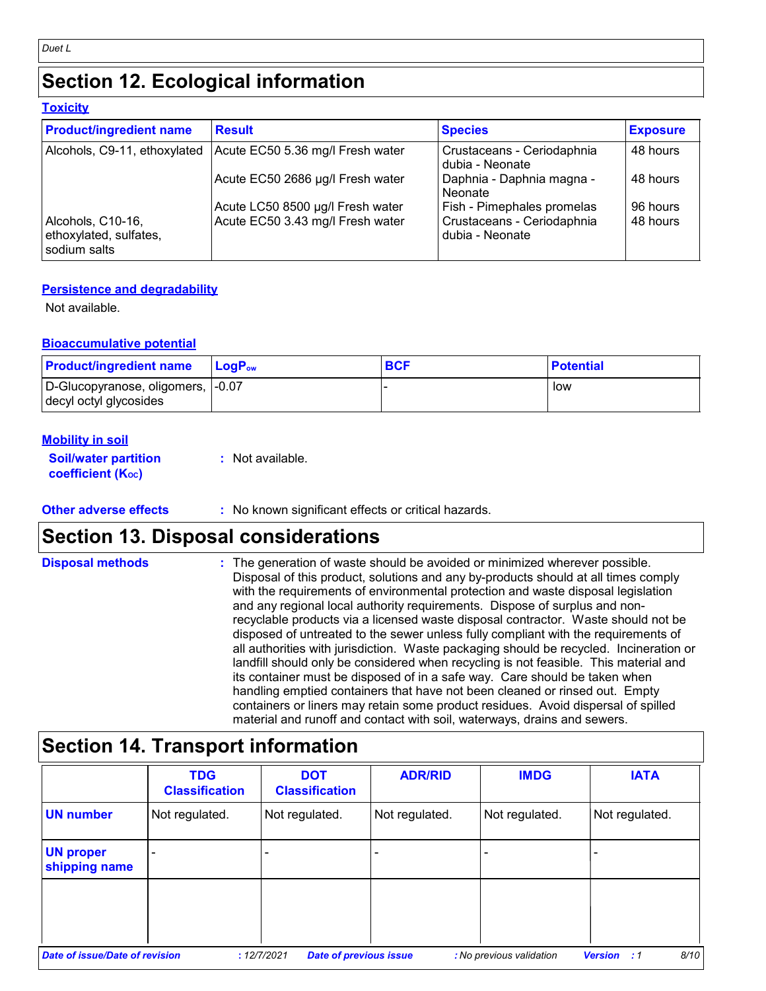## **Section 12. Ecological information**

#### **Toxicity**

| <b>Product/ingredient name</b>                              | <b>Result</b>                    | <b>Species</b>                                | <b>Exposure</b> |
|-------------------------------------------------------------|----------------------------------|-----------------------------------------------|-----------------|
| Alcohols, C9-11, ethoxylated                                | Acute EC50 5.36 mg/l Fresh water | Crustaceans - Ceriodaphnia<br>dubia - Neonate | 48 hours        |
|                                                             | Acute EC50 2686 µg/l Fresh water | Daphnia - Daphnia magna -<br>Neonate          | 48 hours        |
|                                                             | Acute LC50 8500 µg/l Fresh water | Fish - Pimephales promelas                    | 96 hours        |
| Alcohols, C10-16,<br>ethoxylated, sulfates,<br>sodium salts | Acute EC50 3.43 mg/l Fresh water | Crustaceans - Ceriodaphnia<br>dubia - Neonate | 48 hours        |

#### **Persistence and degradability**

Not available.

#### **Bioaccumulative potential**

| <b>Product/ingredient name</b>                               | <b>LogP</b> <sub>ow</sub> | <b>BCF</b> | <b>Potential</b> |
|--------------------------------------------------------------|---------------------------|------------|------------------|
| D-Glucopyranose, oligomers, 1-0.07<br>decyl octyl glycosides |                           |            | low              |

#### **Mobility in soil**

**Soil/water partition coefficient (KOC) :** Not available.

#### **Other adverse effects** : No known significant effects or critical hazards.

### **Section 13. Disposal considerations**

| <b>Disposal methods</b> | : The generation of waste should be avoided or minimized wherever possible.<br>Disposal of this product, solutions and any by-products should at all times comply<br>with the requirements of environmental protection and waste disposal legislation<br>and any regional local authority requirements. Dispose of surplus and non-<br>recyclable products via a licensed waste disposal contractor. Waste should not be<br>disposed of untreated to the sewer unless fully compliant with the requirements of<br>all authorities with jurisdiction. Waste packaging should be recycled. Incineration or<br>landfill should only be considered when recycling is not feasible. This material and<br>its container must be disposed of in a safe way. Care should be taken when<br>handling emptied containers that have not been cleaned or rinsed out. Empty |
|-------------------------|---------------------------------------------------------------------------------------------------------------------------------------------------------------------------------------------------------------------------------------------------------------------------------------------------------------------------------------------------------------------------------------------------------------------------------------------------------------------------------------------------------------------------------------------------------------------------------------------------------------------------------------------------------------------------------------------------------------------------------------------------------------------------------------------------------------------------------------------------------------|
|                         | containers or liners may retain some product residues. Avoid dispersal of spilled<br>material and runoff and contact with soil, waterways, drains and sewers.                                                                                                                                                                                                                                                                                                                                                                                                                                                                                                                                                                                                                                                                                                 |

## **Section 14. Transport information**

|                                       | <b>TDG</b><br><b>Classification</b> | <b>DOT</b><br><b>Classification</b>          | <b>ADR/RID</b> | <b>IMDG</b>              | <b>IATA</b>                |
|---------------------------------------|-------------------------------------|----------------------------------------------|----------------|--------------------------|----------------------------|
| <b>UN number</b>                      | Not regulated.                      | Not regulated.                               | Not regulated. | Not regulated.           | Not regulated.             |
| <b>UN proper</b><br>shipping name     |                                     |                                              |                |                          |                            |
|                                       |                                     |                                              |                |                          |                            |
| <b>Date of issue/Date of revision</b> |                                     | <b>Date of previous issue</b><br>: 12/7/2021 |                | : No previous validation | 8/10<br><b>Version</b> : 1 |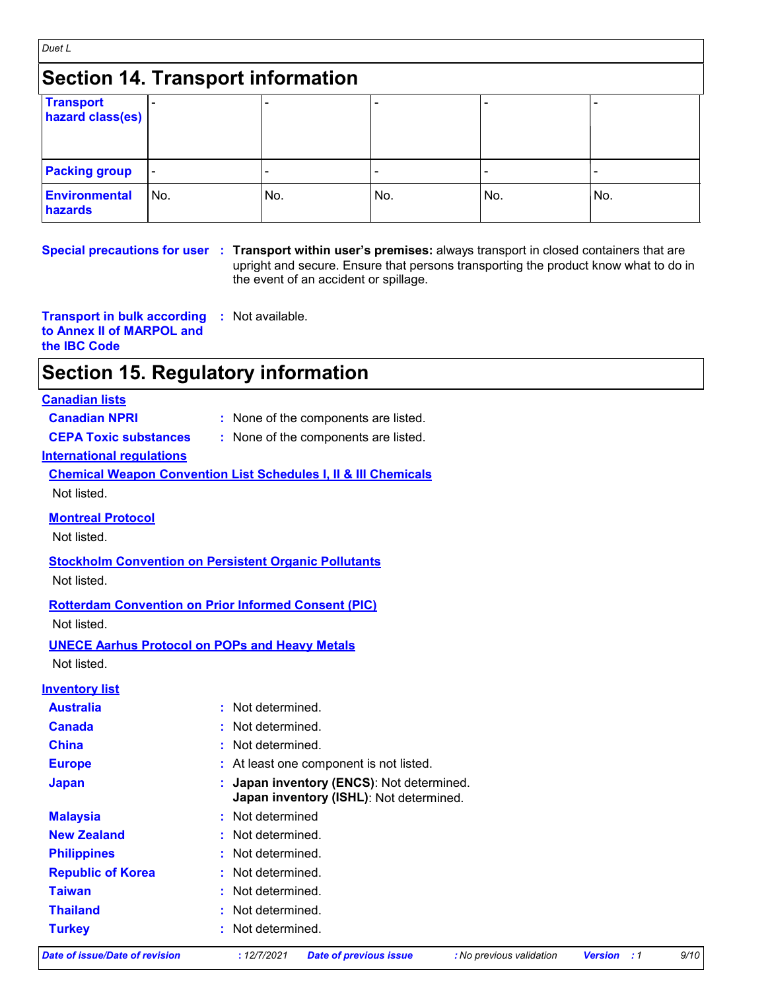| Duet L                                   |     |     |     |     |     |
|------------------------------------------|-----|-----|-----|-----|-----|
| <b>Section 14. Transport information</b> |     |     |     |     |     |
| <b>Transport</b><br>hazard class(es)     |     |     |     |     |     |
| <b>Packing group</b>                     |     |     |     |     |     |
| <b>Environmental</b><br>hazards          | No. | No. | No. | No. | No. |

**Special precautions for user Transport within user's premises:** always transport in closed containers that are **:** upright and secure. Ensure that persons transporting the product know what to do in the event of an accident or spillage.

**Transport in bulk according to Annex II of MARPOL and the IBC Code :** Not available.

## **Section 15. Regulatory information**

#### **Canadian lists**

- **Canadian NPRI :** None of the components are listed.
- **CEPA Toxic substances :** None of the components are listed.
- 

#### **International regulations**

**Chemical Weapon Convention List Schedules I, II & III Chemicals** Not listed.

**Montreal Protocol**

Not listed.

**Stockholm Convention on Persistent Organic Pollutants** Not listed.

**Rotterdam Convention on Prior Informed Consent (PIC)**

Not listed.

**UNECE Aarhus Protocol on POPs and Heavy Metals** Not listed.

#### **Inventory list**

- **Australia :** Not determined.
- **Canada :** Not determined.
- **China :** Not determined.
- **Europe :** At least one component is not listed.
- **Japan : Japan inventory (ENCS)**: Not determined. **Japan inventory (ISHL)**: Not determined.
- **Republic of Korea :** Not determined. **Malaysia :** Not determined **New Zealand :** Not determined. **Philippines :** Not determined. **Taiwan :** Not determined.

**Turkey :** Not determined. **Thailand :** Not determined.